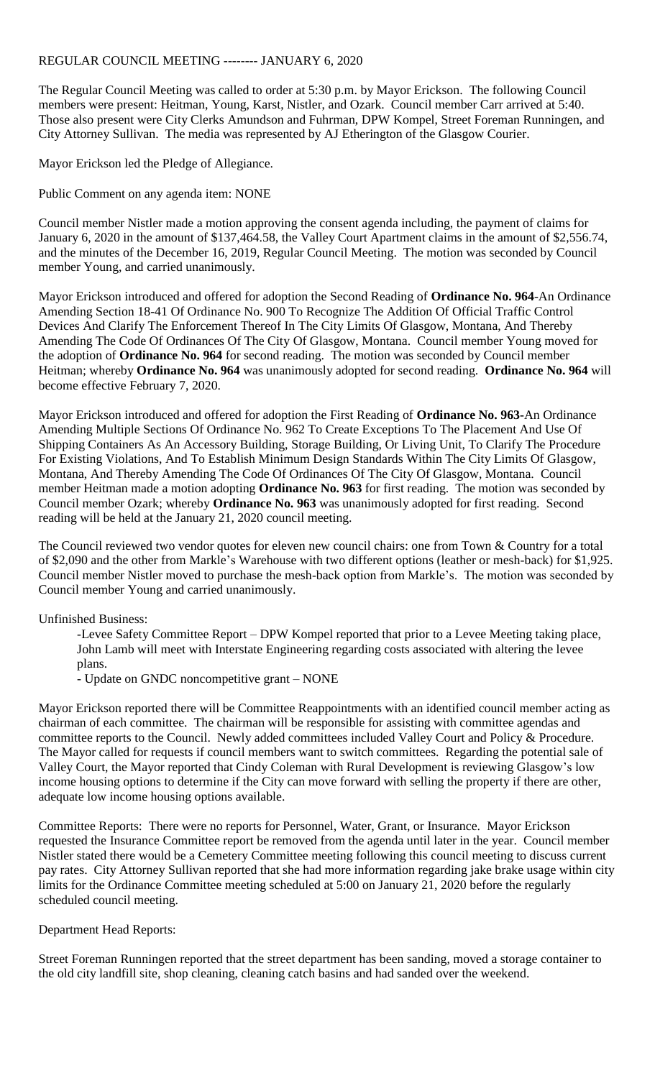## REGULAR COUNCIL MEETING -------- JANUARY 6, 2020

The Regular Council Meeting was called to order at 5:30 p.m. by Mayor Erickson. The following Council members were present: Heitman, Young, Karst, Nistler, and Ozark. Council member Carr arrived at 5:40. Those also present were City Clerks Amundson and Fuhrman, DPW Kompel, Street Foreman Runningen, and City Attorney Sullivan. The media was represented by AJ Etherington of the Glasgow Courier.

Mayor Erickson led the Pledge of Allegiance.

Public Comment on any agenda item: NONE

Council member Nistler made a motion approving the consent agenda including, the payment of claims for January 6, 2020 in the amount of \$137,464.58, the Valley Court Apartment claims in the amount of \$2,556.74, and the minutes of the December 16, 2019, Regular Council Meeting. The motion was seconded by Council member Young, and carried unanimously.

Mayor Erickson introduced and offered for adoption the Second Reading of **Ordinance No. 964**-An Ordinance Amending Section 18-41 Of Ordinance No. 900 To Recognize The Addition Of Official Traffic Control Devices And Clarify The Enforcement Thereof In The City Limits Of Glasgow, Montana, And Thereby Amending The Code Of Ordinances Of The City Of Glasgow, Montana. Council member Young moved for the adoption of **Ordinance No. 964** for second reading. The motion was seconded by Council member Heitman; whereby **Ordinance No. 964** was unanimously adopted for second reading. **Ordinance No. 964** will become effective February 7, 2020.

Mayor Erickson introduced and offered for adoption the First Reading of **Ordinance No. 963-**An Ordinance Amending Multiple Sections Of Ordinance No. 962 To Create Exceptions To The Placement And Use Of Shipping Containers As An Accessory Building, Storage Building, Or Living Unit, To Clarify The Procedure For Existing Violations, And To Establish Minimum Design Standards Within The City Limits Of Glasgow, Montana, And Thereby Amending The Code Of Ordinances Of The City Of Glasgow, Montana. Council member Heitman made a motion adopting **Ordinance No. 963** for first reading. The motion was seconded by Council member Ozark; whereby **Ordinance No. 963** was unanimously adopted for first reading. Second reading will be held at the January 21, 2020 council meeting.

The Council reviewed two vendor quotes for eleven new council chairs: one from Town & Country for a total of \$2,090 and the other from Markle's Warehouse with two different options (leather or mesh-back) for \$1,925. Council member Nistler moved to purchase the mesh-back option from Markle's. The motion was seconded by Council member Young and carried unanimously.

## Unfinished Business:

-Levee Safety Committee Report – DPW Kompel reported that prior to a Levee Meeting taking place, John Lamb will meet with Interstate Engineering regarding costs associated with altering the levee plans.

- Update on GNDC noncompetitive grant – NONE

Mayor Erickson reported there will be Committee Reappointments with an identified council member acting as chairman of each committee. The chairman will be responsible for assisting with committee agendas and committee reports to the Council. Newly added committees included Valley Court and Policy & Procedure. The Mayor called for requests if council members want to switch committees. Regarding the potential sale of Valley Court, the Mayor reported that Cindy Coleman with Rural Development is reviewing Glasgow's low income housing options to determine if the City can move forward with selling the property if there are other, adequate low income housing options available.

Committee Reports: There were no reports for Personnel, Water, Grant, or Insurance. Mayor Erickson requested the Insurance Committee report be removed from the agenda until later in the year. Council member Nistler stated there would be a Cemetery Committee meeting following this council meeting to discuss current pay rates. City Attorney Sullivan reported that she had more information regarding jake brake usage within city limits for the Ordinance Committee meeting scheduled at 5:00 on January 21, 2020 before the regularly scheduled council meeting.

## Department Head Reports:

Street Foreman Runningen reported that the street department has been sanding, moved a storage container to the old city landfill site, shop cleaning, cleaning catch basins and had sanded over the weekend.